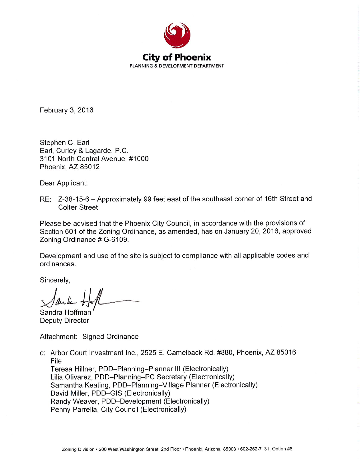

February 3, 2016

Stephen C. Earl Earl, Curley & Lagarde, P.C. 3101 North Central Avenue, #1000 Phoenix, AZ 85012

Dear Applicant:

RE: Z-38-15-6 - Approximately 99 feet east of the southeast corner of 16th Street and **Colter Street** 

Please be advised that the Phoenix City Council, in accordance with the provisions of Section 601 of the Zoning Ordinance, as amended, has on January 20, 2016, approved Zoning Ordinance # G-6109.

Development and use of the site is subject to compliance with all applicable codes and ordinances.

Sincerely,

Sandra Hoffman Deputy Director

Attachment: Signed Ordinance

c: Arbor Court Investment Inc., 2525 E. Camelback Rd. #880, Phoenix, AZ 85016 File Teresa Hillner, PDD-Planning-Planner III (Electronically) Lilia Olivarez, PDD-Planning-PC Secretary (Electronically) Samantha Keating, PDD-Planning-Village Planner (Electronically) David Miller, PDD-GIS (Electronically)

Randy Weaver, PDD-Development (Electronically)

Penny Parrella, City Council (Electronically)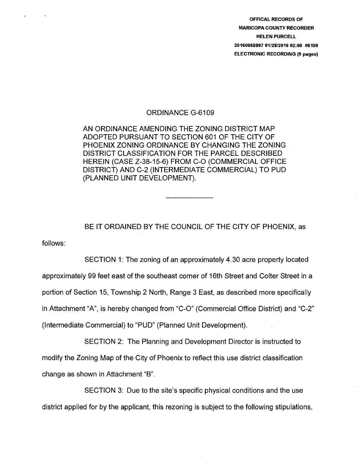OFFICAL RECORDS OF MARICOPA COUNTY RECORDER HELEN PURCELL 20160058897 01/28/2016 02:50 #6109 ELECTRONIC RECORDING (9 pages)

#### ORDINANCE G-6109

AN ORDINANCE AMENDING THE ZONING DISTRICT MAP ADOPTED PURSUANT TO SECTION 601 OF THE CITY OF PHOENIX ZONING ORDINANCE BY CHANGING THE ZONING DISTRICT CLASSIFICATION FOR THE PARCEL DESCRIBED HEREIN (CASE Z-38-15-6) FROM C-0 (COMMERCIAL OFFICE DISTRICT) AND C-2 (INTERMEDIATE COMMERCIAL) TO PUD (PLANNED UNIT DEVELOPMENT).

follows: BE IT ORDAINED BY THE COUNCIL OF THE CITY OF PHOENIX, as

SECTION 1: The zoning of an approximately 4.30 acre property located approximately 99 feet east of the southeast corner of 16th Street and Colter Street in a portion of Section 15, Township 2 North, Range 3 East, as described more specifically in Attachment "A", is hereby changed from "C-0" (Commercial Office District) and "C-2" (Intermediate Commercial) to "PUD" (Planned Unit Development).

SECTION 2: The Planning and Development Director is instructed to modify the Zoning Map of the City of Phoenix to reflect this use district classification change as shown in Attachment "B".

SECTION 3: Due to the site's specific physical conditions and the use district applied for by the applicant, this rezoning is subject to the following stipulations,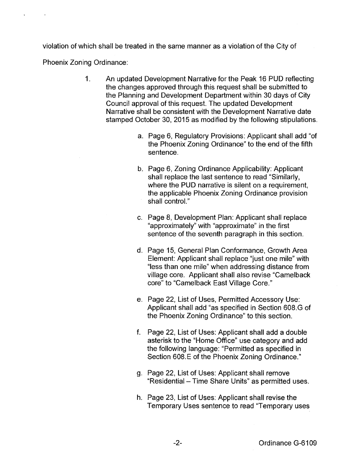violation of which shall be treated in the same manner as a violation of the City of

Phoenix Zoning Ordinance:

- 1. An updated Development Narrative for the Peak 16 PUD reflecting the changes approved through this request shall be submitted to the Planning and Development Department within 30 days of City Council approval of this request. The updated Development Narrative shall be consistent with the Development Narrative date stamped October 30, 2015 as modified by the following stipulations.
	- a. Page 6, Regulatory Provisions: Applicant shall add "of the Phoenix Zoning Ordinance" to the end of the fifth sentence.
	- b. Page 6, Zoning Ordinance Applicability: Applicant shall replace the last sentence to read "Similarly, where the PUD narrative is silent on a requirement. the applicable Phoenix Zoning Ordinance provision shall control."
	- c. Page 8, Development Plan: Applicant shall replace "approximately" with "approximate" in the first sentence of the seventh paragraph in this section.
	- d. Page 15, General Plan Conformance, Growth Area Element: Applicant shall replace "just one mile" with "less than one mile" when addressing distance from village core. Applicant shall also revise "Camelback core" to "Camelback East Village Core."
	- e. Page 22, List of Uses, Permitted Accessory Use: Applicant shall add "as specified in Section 608. G of the Phoenix Zoning Ordinance" to this section.
	- f. Page 22, List of Uses: Applicant shall add a double asterisk to the "Home Office" use category and add the following language: "Permitted as specified in Section 608.E of the Phoenix Zoning Ordinance."
	- g. Page 22, List of Uses: Applicant shall remove "Residential- Time Share Units" as permitted uses.
	- h. Page 23, List of Uses: Applicant shall revise the Temporary Uses sentence to read "Temporary uses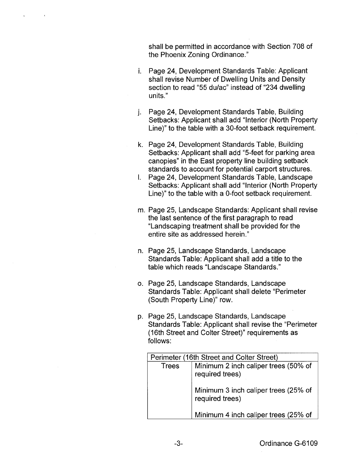shall be permitted in accordance with Section 708 of the Phoenix Zoning Ordinance."

- i. Page 24, Development Standards Table: Applicant shall revise Number of Dwelling Units and Density section to read "55 du/ac" instead of "234 dwelling units."
- j. Page 24, Development Standards Table, Building Setbacks: Applicant shall add "Interior (North Property Line)" to the table with a 30-foot setback requirement.
- k. Page 24, Development Standards Table, Building Setbacks: Applicant shall add "5-feet for parking area canopies" in the East property line building setback standards to account for potential carport structures.
- I. Page 24, Development Standards Table, Landscape Setbacks: Applicant shall add "Interior (North Property Line)" to the table with a 0-foot setback requirement.
- m. Page 25, Landscape Standards: Applicant shall revise the last sentence of the first paragraph to read "Landscaping treatment shall be provided for the entire site as addressed herein."
- n. Page 25, Landscape Standards, Landscape Standards Table: Applicant shall add a title to the table which reads "Landscape Standards."
- o. Page 25, Landscape Standards, Landscape Standards Table: Applicant shall delete "Perimeter (South Property Line)" row.
- p. Page 25, Landscape Standards, Landscape Standards Table: Applicant shall revise the "Perimeter (16th Street and Colter Street)" requirements as follows:

| Perimeter (16th Street and Colter Street) |                                                         |
|-------------------------------------------|---------------------------------------------------------|
| Trees                                     | Minimum 2 inch caliper trees (50% of<br>required trees) |
|                                           | Minimum 3 inch caliper trees (25% of<br>required trees) |
|                                           | Minimum 4 inch caliper trees (25% of                    |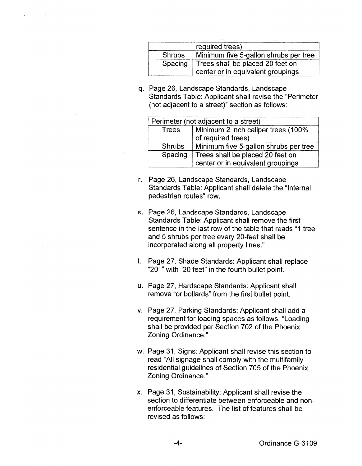|         | required trees)                       |
|---------|---------------------------------------|
| Shrubs  | Minimum five 5-gallon shrubs per tree |
| Spacing | Trees shall be placed 20 feet on      |
|         | center or in equivalent groupings     |

q. Page 26, Landscape Standards, Landscape Standards Table: Applicant shall revise the "Perimeter (not adjacent to a street)" section as follows:

| Perimeter (not adjacent to a street) |                                                                       |  |
|--------------------------------------|-----------------------------------------------------------------------|--|
| Trees                                | Minimum 2 inch caliper trees (100%<br>of required trees)              |  |
| <b>Shrubs</b>                        | Minimum five 5-gallon shrubs per tree                                 |  |
| Spacing                              | Trees shall be placed 20 feet on<br>center or in equivalent groupings |  |

- r. Page 26, Landscape Standards, Landscape Standards Table: Applicant shall delete the "Internal pedestrian routes" row.
- s. Page 26, Landscape Standards, Landscape Standards Table: Applicant shall remove the first sentence in the last row of the table that reads "1 tree and 5 shrubs per tree every 20-feet shall be incorporated along all property lines."
- t. Page 27, Shade Standards: Applicant shall replace "20' " with "20 feet" in the fourth bullet point.
- u. Page 27, Hardscape Standards: Applicant shall remove "or bollards" from the first bullet point.
- v. Page 27, Parking Standards: Applicant shall add a requirement for loading spaces as follows, "Loading shall be provided per Section 702 of the Phoenix Zoning Ordinance."
- w. Page 31, Signs: Applicant shall revise this section to read "All signage shall comply with the multifamily residential guidelines of Section 705 of the Phoenix Zoning Ordinance."
- x. Page 31, Sustainability: Applicant shall revise the section to differentiate between enforceable and nonenforceable features. The list of features shall be revised as follows: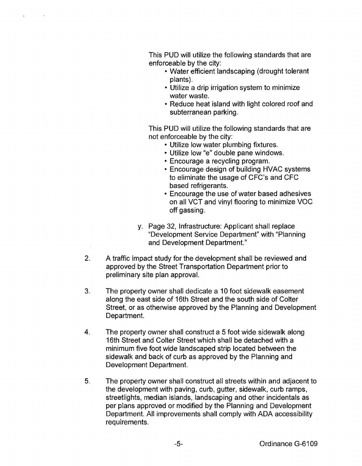This PUD will utilize the following standards that are enforceable by the city:

- Water efficient landscaping (drought tolerant plants).
- Utilize a drip irrigation system to minimize water waste.
- Reduce heat island with light colored roof and subterranean parking.

This PUD will utilize the following standards that are not enforceable by the city:

- Utilize low water plumbing fixtures.
- Utilize low "e" double pane windows.
- Encourage a recycling program.
- Encourage design of building HVAC systems to eliminate the usage of CFC's and CFC based refrigerants.
- Encourage the use of water based adhesives on all VCT and vinyl flooring to minimize VOC off gassing.
- y. Page 32, Infrastructure: Applicant shall replace "Development Service Department" with "Planning and Development Department."
- 2. A traffic impact study for the development shall be reviewed and approved by the Street Transportation Department prior to preliminary site plan approval.
- 3. The property owner shall dedicate a 10 foot sidewalk easement along the east side of 16th Street and the south side of Colter Street, or as otherwise approved by the Planning and Development Department.
- 4. The property owner shall construct a 5 foot wide sidewalk along 16th Street and Colter Street which shall be detached with a minimum five foot wide landscaped strip located between the sidewalk and back of curb as approved by the Planning and Development Department.
- 5. The property owner shall construct all streets within and adjacent to the development with paving, curb, gutter, sidewalk, curb ramps, streetlights, median islands, landscaping and other incidentals as per plans approved or modified by the Planning and Development Department. All improvements shall comply with ADA accessibility requirements.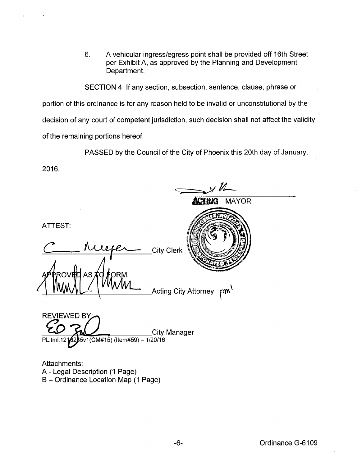6. A vehicular ingress/egress point shall be provided off 16th Street per Exhibit A, as approved by the Planning and Development Department.

SECTION 4: If any section, subsection, sentence, clause, phrase or portion of this ordinance is for any reason held to be invalid or unconstitutional by the decision of any court of competent jurisdiction, such decision shall not affect the validity of the remaining portions hereof.

PASSED by the Council of the City of Phoenix this 20th day of January,

 $\longrightarrow$  12

2016.

**ACTING MAYOR** ATTEST: *c*  **City Clerk** AS ORM:  $\mathsf{L} \mathsf{w}'$ **Acting City Attorney** REVIEWED BY: City Manager PL:tml:12 2 5v1(CM#15) (ltem#59) -1/20/16 Attachments: A- Legal Description (1 Page)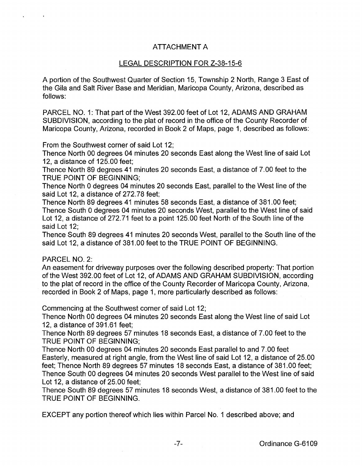# ATTACHMENT A

## LEGAL DESCRIPTION FOR Z-38-15-6

A portion of the Southwest Quarter of Section 15, Township 2 North, Range 3 East of the Gila and Salt River Base and Meridian, Maricopa County, Arizona, described as follows:

PARCEL NO. 1: That part of the West 392.00 feet of Lot 12, ADAMS AND GRAHAM SUBDIVISION, according to the plat of record in the office of the County Recorder of Maricopa County, Arizona, recorded in Book 2 of Maps, page 1, described as follows:

From the Southwest corner of said Lot 12;

Thence North 00 degrees 04 minutes 20 seconds East along the West line of said Lot 12, a distance of 125.00 feet;

Thence North 89 degrees 41 minutes 20 seconds East, a distance of 7.00 feet to the TRUE POINT OF BEGINNING;

Thence North 0 degrees 04 minutes 20 seconds East, parallel to the West line of the said Lot 12, a distance of 272.78 feet;

Thence North 89 degrees 41 minutes 58 seconds East, a distance of 381.00 feet; Thence South 0 degrees 04 minutes 20 seconds West, parallel to the West line of said Lot 12, a distance of 272.71 feet to a point 125.00 feet North of the South line of the said Lot 12;

Thence South 89 degrees 41 minutes 20 seconds West, parallel to the South line of the said Lot 12, a distance of 381.00 feet to the TRUE POINT OF BEGINNING.

#### PARCEL NO. 2:

An easement for driveway purposes over the following described property: That portion of the West 392.00 feet of Lot 12, of ADAMS AND GRAHAM SUBDIVISION, according to the plat of record in the office of the County Recorder of Maricopa County, Arizona, recorded in Book 2 of Maps, page 1, more particularly described as follows:

Commencing at the Southwest corner of said Lot 12;

Thence North 00 degrees 04 minutes 20 seconds East along the West line of said Lot 12, a distance of 391.61 feet;

Thence North 89 degrees 57 minutes 18 seconds East, a distance of 7.00 feet to the TRUE POINT OF BEGINNING;

Thence North 00 degrees 04 minutes 20 seconds East parallel to and 7.00 feet Easterly, measured at right angle, from the West line of said Lot 12, a distance of 25.00 feet; Thence North 89 degrees 57 minutes 18 seconds East, a distance of 381.00 feet; Thence South 00 degrees 04 minutes 20 seconds West parallel to the West line of said Lot 12, a distance of 25.00 feet;

Thence South 89 degrees 57 minutes 18 seconds West, a distance of 381.00 feet to the TRUE POINT OF BEGINNING.

EXCEPT any portion thereof which lies within Parcel No. 1 described above; and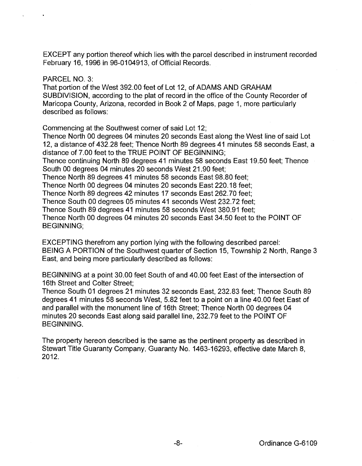EXCEPT any portion thereof which lies with the parcel described in instrument recorded February 16, 1996 in 96-0104913, of Official Records.

## PARCEL NO. 3:

That portion of the West 392.00 feet of Lot 12, of ADAMS AND GRAHAM SUBDIVISION, according to the plat of record in the office of the County Recorder of Maricopa County, Arizona, recorded in Book 2 of Maps, page 1, more particularly described as follows:

Commencing at the Southwest comer of said Lot 12;

Thence North 00 degrees 04 minutes 20 seconds East along the West line of said Lot 12, a distance of 432.28 feet; Thence North 89 degrees 41 minutes 58 seconds East, a distance of 7.00 feet to the TRUE POINT OF BEGINNING;

Thence continuing North 89 degrees 41 minutes 58 seconds East 19.50 feet; Thence South 00 degrees 04 minutes 20 seconds West 21.90 feet;

Thence North 89 degrees 41 minutes 58 seconds East 98.80 feet;

Thence North 00 degrees 04 minutes 20 seconds East 220.18 feet;

Thence North 89 degrees 42 minutes 17 seconds East 262.70 feet;

Thence South 00 degrees 05 minutes 41 seconds West 232.72 feet;

Thence South 89 degrees 41 minutes 58 seconds West 380.91 feet;

Thence North 00 degrees 04 minutes 20 seconds East 34.50 feet to the POINT OF BEGINNING;

EXCEPTING therefrom any portion lying with the following described parcel: BEING A PORTION of the Southwest quarter of Section 15, Township 2 North, Range 3 East, and being more particularly described as follows:

BEGINNING at a point 30.00 feet South of and 40.00 feet East of the intersection of 16th Street and Colter Street;

Thence South 01 degrees 21 minutes 32 seconds East, 232.83 feet; Thence South 89 degrees 41 minutes 58 seconds West, 5.82 feet to a point on a line 40.00 feet East of and parallel with the monument line of 16th Street; Thence North 00 degrees 04 minutes 20 seconds East along said parallel line, 232.79 feet to the POINT OF BEGINNING.

The property hereon described is the same as the pertinent property as described in Stewart Title Guaranty Company, Guaranty No. 1463-16293, effective date March 8, 2012.